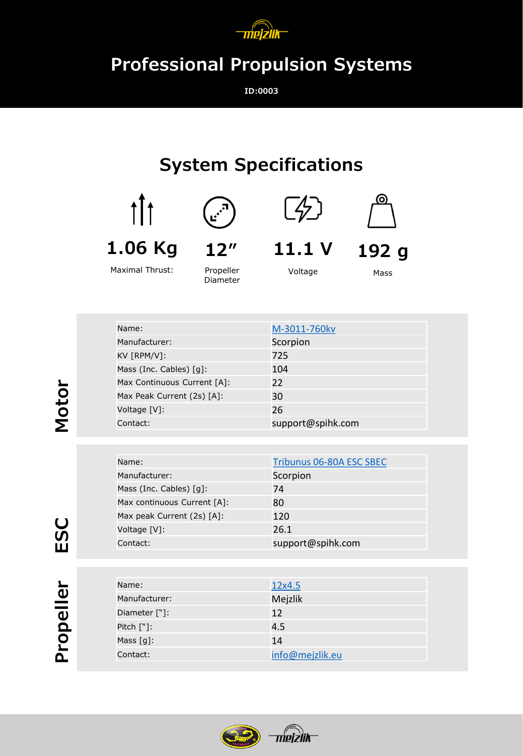

## **Professional Propulsion Systems**

**ID:0003**

## **System Specifications**







**11.1 V**

**192 g**

Maximal Thrust:

Propeller Diameter

Voltage

Mass

| Name:                       | M-3011-760kv      |
|-----------------------------|-------------------|
| Manufacturer:               | Scorpion          |
| KV [RPM/V]:                 | 725               |
| Mass (Inc. Cables) [g]:     | 104               |
| Max Continuous Current [A]: | 22                |
| Max Peak Current (2s) [A]:  | 30                |
| Voltage [V]:                | 26                |
| Contact:                    | support@spihk.com |

| Name:                       | Tribunus 06-80A ESC SBEC |
|-----------------------------|--------------------------|
| Manufacturer:               | Scorpion                 |
| Mass (Inc. Cables) [q]:     | 74                       |
| Max continuous Current [A]: | 80                       |
| Max peak Current (2s) [A]:  | 120                      |
| Voltage [V]:                | 26.1                     |
| Contact:                    | support@spihk.com        |

| Name:                    | 12x4.5          |
|--------------------------|-----------------|
| Manufacturer:            | Mejzlik         |
| Diameter ["]:            | 12              |
| Pitch $[\n$ :            | 4.5             |
| Mass $\lceil q \rceil$ : | 14              |
| Contact:                 | info@mejzlik.eu |